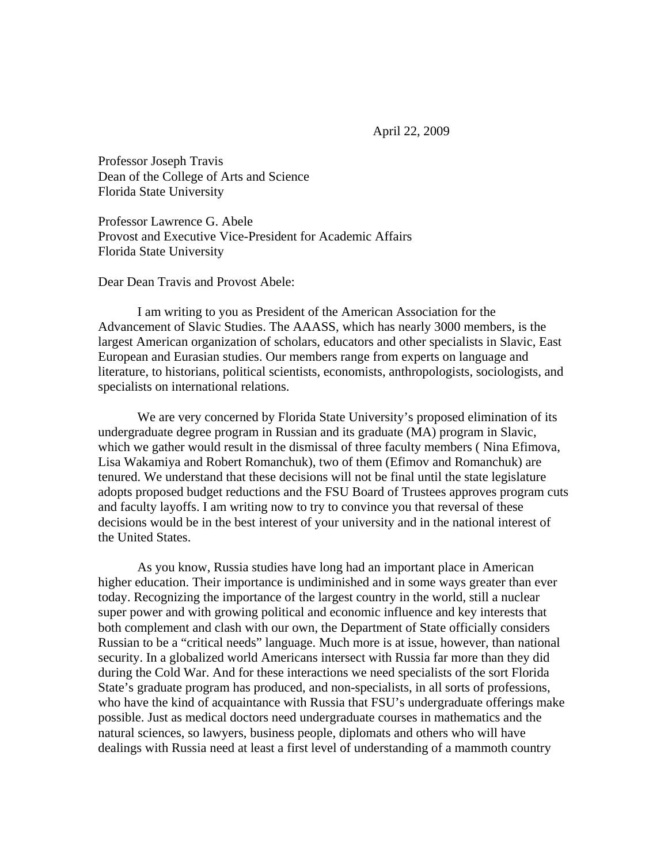April 22, 2009

Professor Joseph Travis Dean of the College of Arts and Science Florida State University

Professor Lawrence G. Abele Provost and Executive Vice-President for Academic Affairs Florida State University

Dear Dean Travis and Provost Abele:

 I am writing to you as President of the American Association for the Advancement of Slavic Studies. The AAASS, which has nearly 3000 members, is the largest American organization of scholars, educators and other specialists in Slavic, East European and Eurasian studies. Our members range from experts on language and literature, to historians, political scientists, economists, anthropologists, sociologists, and specialists on international relations.

 We are very concerned by Florida State University's proposed elimination of its undergraduate degree program in Russian and its graduate (MA) program in Slavic, which we gather would result in the dismissal of three faculty members ( Nina Efimova, Lisa Wakamiya and Robert Romanchuk), two of them (Efimov and Romanchuk) are tenured. We understand that these decisions will not be final until the state legislature adopts proposed budget reductions and the FSU Board of Trustees approves program cuts and faculty layoffs. I am writing now to try to convince you that reversal of these decisions would be in the best interest of your university and in the national interest of the United States.

 As you know, Russia studies have long had an important place in American higher education. Their importance is undiminished and in some ways greater than ever today. Recognizing the importance of the largest country in the world, still a nuclear super power and with growing political and economic influence and key interests that both complement and clash with our own, the Department of State officially considers Russian to be a "critical needs" language. Much more is at issue, however, than national security. In a globalized world Americans intersect with Russia far more than they did during the Cold War. And for these interactions we need specialists of the sort Florida State's graduate program has produced, and non-specialists, in all sorts of professions, who have the kind of acquaintance with Russia that FSU's undergraduate offerings make possible. Just as medical doctors need undergraduate courses in mathematics and the natural sciences, so lawyers, business people, diplomats and others who will have dealings with Russia need at least a first level of understanding of a mammoth country